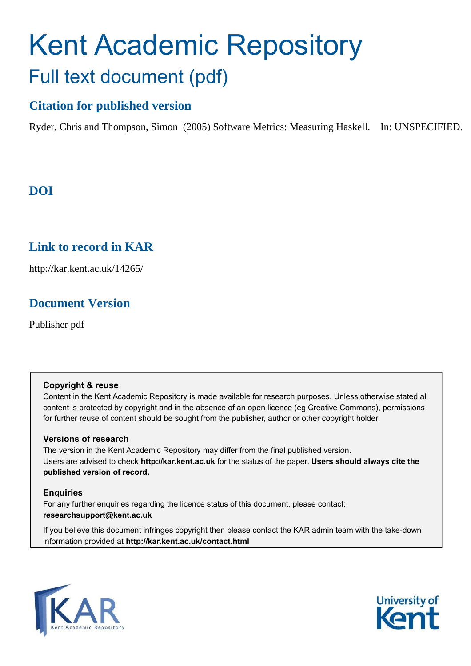# Kent Academic Repository Full text document (pdf)

### **Citation for published version**

Ryder, Chris and Thompson, Simon (2005) Software Metrics: Measuring Haskell. In: UNSPECIFIED.

### **DOI**

### **Link to record in KAR**

http://kar.kent.ac.uk/14265/

### **Document Version**

Publisher pdf

#### **Copyright & reuse**

Content in the Kent Academic Repository is made available for research purposes. Unless otherwise stated all content is protected by copyright and in the absence of an open licence (eg Creative Commons), permissions for further reuse of content should be sought from the publisher, author or other copyright holder.

#### **Versions of research**

The version in the Kent Academic Repository may differ from the final published version. Users are advised to check **http://kar.kent.ac.uk** for the status of the paper. **Users should always cite the published version of record.**

#### **Enquiries**

For any further enquiries regarding the licence status of this document, please contact: **researchsupport@kent.ac.uk**

If you believe this document infringes copyright then please contact the KAR admin team with the take-down information provided at **http://kar.kent.ac.uk/contact.html**



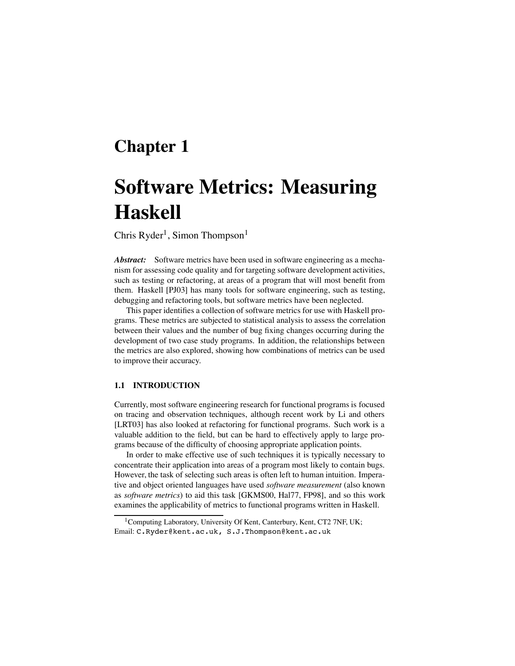### **Chapter 1**

## **Software Metrics: Measuring Haskell**

Chris Ryder<sup>1</sup>, Simon Thompson<sup>1</sup>

*Abstract:* Software metrics have been used in software engineering as a mechanism for assessing code quality and for targeting software development activities, such as testing or refactoring, at areas of a program that will most benefit from them. Haskell [PJ03] has many tools for software engineering, such as testing, debugging and refactoring tools, but software metrics have been neglected.

This paper identifies a collection of software metrics for use with Haskell programs. These metrics are subjected to statistical analysis to assess the correlation between their values and the number of bug fixing changes occurring during the development of two case study programs. In addition, the relationships between the metrics are also explored, showing how combinations of metrics can be used to improve their accuracy.

#### **1.1 INTRODUCTION**

Currently, most software engineering research for functional programs is focused on tracing and observation techniques, although recent work by Li and others [LRT03] has also looked at refactoring for functional programs. Such work is a valuable addition to the field, but can be hard to effectively apply to large programs because of the difficulty of choosing appropriate application points.

In order to make effective use of such techniques it is typically necessary to concentrate their application into areas of a program most likely to contain bugs. However, the task of selecting such areas is often left to human intuition. Imperative and object oriented languages have used *software measurement* (also known as *software metrics*) to aid this task [GKMS00, Hal77, FP98], and so this work examines the applicability of metrics to functional programs written in Haskell.

<sup>&</sup>lt;sup>1</sup>Computing Laboratory, University Of Kent, Canterbury, Kent, CT2 7NF, UK; Email: C.Ryder@kent.ac.uk, S.J.Thompson@kent.ac.uk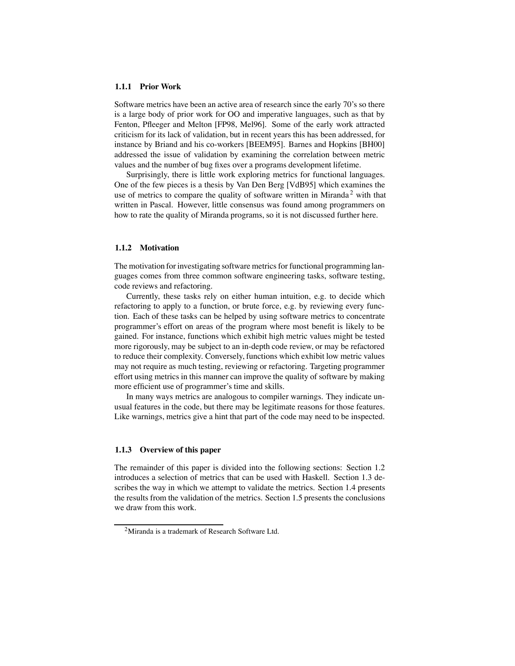#### **1.1.1 Prior Work**

Software metrics have been an active area of research since the early 70's so there is a large body of prior work for OO and imperative languages, such as that by Fenton, Pfleeger and Melton [FP98, Mel96]. Some of the early work attracted criticism for its lack of validation, but in recent years this has been addressed, for instance by Briand and his co-workers [BEEM95]. Barnes and Hopkins [BH00] addressed the issue of validation by examining the correlation between metric values and the number of bug fixes over a programs development lifetime.

Surprisingly, there is little work exploring metrics for functional languages. One of the few pieces is a thesis by Van Den Berg [VdB95] which examines the use of metrics to compare the quality of software written in Miranda<sup>2</sup> with that written in Pascal. However, little consensus was found among programmers on how to rate the quality of Miranda programs, so it is not discussed further here.

#### **1.1.2 Motivation**

The motivation for investigating software metrics for functional programming languages comes from three common software engineering tasks, software testing, code reviews and refactoring.

Currently, these tasks rely on either human intuition, e.g. to decide which refactoring to apply to a function, or brute force, e.g. by reviewing every function. Each of these tasks can be helped by using software metrics to concentrate programmer's effort on areas of the program where most benefit is likely to be gained. For instance, functions which exhibit high metric values might be tested more rigorously, may be subject to an in-depth code review, or may be refactored to reduce their complexity. Conversely, functions which exhibit low metric values may not require as much testing, reviewing or refactoring. Targeting programmer effort using metrics in this manner can improve the quality of software by making more efficient use of programmer's time and skills.

In many ways metrics are analogous to compiler warnings. They indicate unusual features in the code, but there may be legitimate reasons for those features. Like warnings, metrics give a hint that part of the code may need to be inspected.

#### **1.1.3 Overview of this paper**

The remainder of this paper is divided into the following sections: Section 1.2 introduces a selection of metrics that can be used with Haskell. Section 1.3 describes the way in which we attempt to validate the metrics. Section 1.4 presents the results from the validation of the metrics. Section 1.5 presents the conclusions we draw from this work.

<sup>&</sup>lt;sup>2</sup>Miranda is a trademark of Research Software Ltd.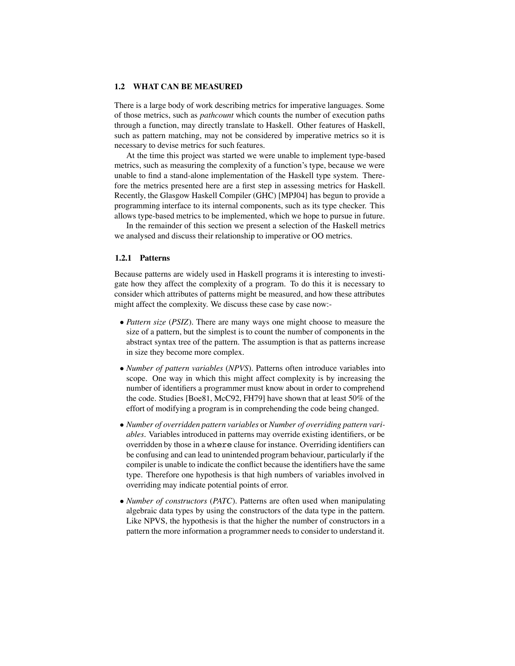#### **1.2 WHAT CAN BE MEASURED**

There is a large body of work describing metrics for imperative languages. Some of those metrics, such as *pathcount* which counts the number of execution paths through a function, may directly translate to Haskell. Other features of Haskell, such as pattern matching, may not be considered by imperative metrics so it is necessary to devise metrics for such features.

At the time this project was started we were unable to implement type-based metrics, such as measuring the complexity of a function's type, because we were unable to find a stand-alone implementation of the Haskell type system. Therefore the metrics presented here are a first step in assessing metrics for Haskell. Recently, the Glasgow Haskell Compiler (GHC) [MPJ04] has begun to provide a programming interface to its internal components, such as its type checker. This allows type-based metrics to be implemented, which we hope to pursue in future.

In the remainder of this section we present a selection of the Haskell metrics we analysed and discuss their relationship to imperative or OO metrics.

#### **1.2.1 Patterns**

Because patterns are widely used in Haskell programs it is interesting to investigate how they affect the complexity of a program. To do this it is necessary to consider which attributes of patterns might be measured, and how these attributes might affect the complexity. We discuss these case by case now:-

- *Pattern size* (*PSIZ*). There are many ways one might choose to measure the size of a pattern, but the simplest is to count the number of components in the abstract syntax tree of the pattern. The assumption is that as patterns increase in size they become more complex.
- *Number of pattern variables* (*NPVS*). Patterns often introduce variables into scope. One way in which this might affect complexity is by increasing the number of identifiers a programmer must know about in order to comprehend the code. Studies [Boe81, McC92, FH79] have shown that at least 50% of the effort of modifying a program is in comprehending the code being changed.
- *Number of overridden pattern variables* or *Number of overriding pattern variables*. Variables introduced in patterns may override existing identifiers, or be overridden by those in a where clause for instance. Overriding identifiers can be confusing and can lead to unintended program behaviour, particularly if the compiler is unable to indicate the conflict because the identifiers have the same type. Therefore one hypothesis is that high numbers of variables involved in overriding may indicate potential points of error.
- *Number of constructors* (*PATC*). Patterns are often used when manipulating algebraic data types by using the constructors of the data type in the pattern. Like NPVS, the hypothesis is that the higher the number of constructors in a pattern the more information a programmer needs to consider to understand it.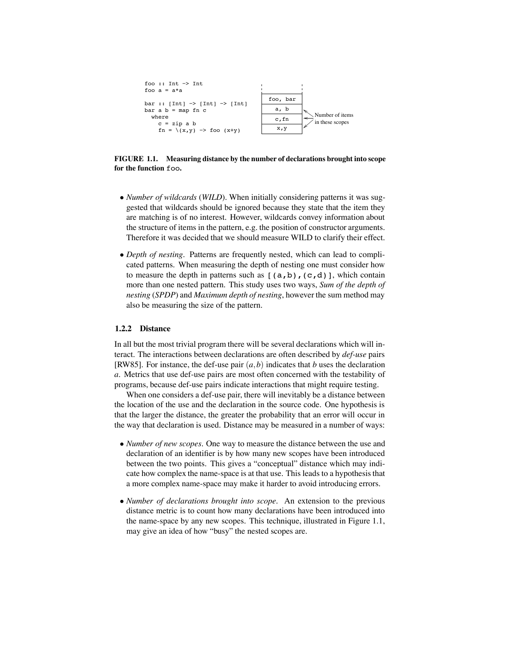

**FIGURE 1.1. Measuring distance by the number of declarations brought into scope for the function** foo**.**

- *Number of wildcards* (*WILD*). When initially considering patterns it was suggested that wildcards should be ignored because they state that the item they are matching is of no interest. However, wildcards convey information about the structure of items in the pattern, e.g. the position of constructor arguments. Therefore it was decided that we should measure WILD to clarify their effect.
- *Depth of nesting*. Patterns are frequently nested, which can lead to complicated patterns. When measuring the depth of nesting one must consider how to measure the depth in patterns such as  $[(a,b), (c,d)]$ , which contain more than one nested pattern. This study uses two ways, *Sum of the depth of nesting* (*SPDP*) and *Maximum depth of nesting*, however the sum method may also be measuring the size of the pattern.

#### **1.2.2 Distance**

In all but the most trivial program there will be several declarations which will interact. The interactions between declarations are often described by *def-use* pairs [RW85]. For instance, the def-use pair  $(a, b)$  indicates that *b* uses the declaration *a*. Metrics that use def-use pairs are most often concerned with the testability of programs, because def-use pairs indicate interactions that might require testing.

When one considers a def-use pair, there will inevitably be a distance between the location of the use and the declaration in the source code. One hypothesis is that the larger the distance, the greater the probability that an error will occur in the way that declaration is used. Distance may be measured in a number of ways:

- *Number of new scopes*. One way to measure the distance between the use and declaration of an identifier is by how many new scopes have been introduced between the two points. This gives a "conceptual" distance which may indicate how complex the name-space is at that use. This leads to a hypothesis that a more complex name-space may make it harder to avoid introducing errors.
- *Number of declarations brought into scope*. An extension to the previous distance metric is to count how many declarations have been introduced into the name-space by any new scopes. This technique, illustrated in Figure 1.1, may give an idea of how "busy" the nested scopes are.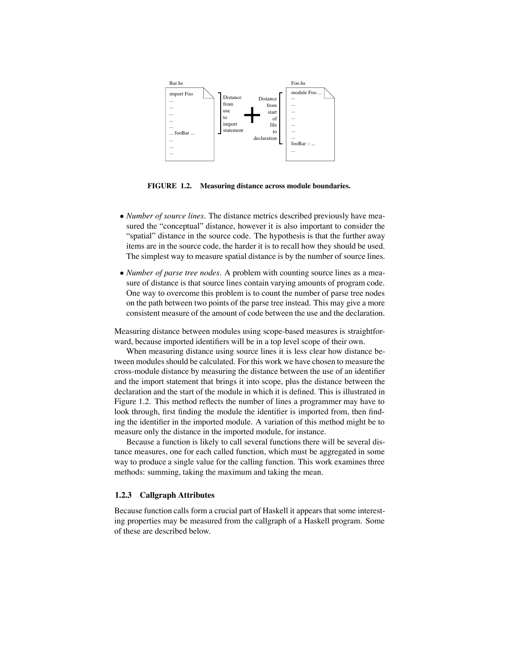

**FIGURE 1.2. Measuring distance across module boundaries.**

- *Number of source lines*. The distance metrics described previously have measured the "conceptual" distance, however it is also important to consider the "spatial" distance in the source code. The hypothesis is that the further away items are in the source code, the harder it is to recall how they should be used. The simplest way to measure spatial distance is by the number of source lines.
- *Number of parse tree nodes*. A problem with counting source lines as a measure of distance is that source lines contain varying amounts of program code. One way to overcome this problem is to count the number of parse tree nodes on the path between two points of the parse tree instead. This may give a more consistent measure of the amount of code between the use and the declaration.

Measuring distance between modules using scope-based measures is straightforward, because imported identifiers will be in a top level scope of their own.

When measuring distance using source lines it is less clear how distance between modules should be calculated. For this work we have chosen to measure the cross-module distance by measuring the distance between the use of an identifier and the import statement that brings it into scope, plus the distance between the declaration and the start of the module in which it is defined. This is illustrated in Figure 1.2. This method reflects the number of lines a programmer may have to look through, first finding the module the identifier is imported from, then finding the identifier in the imported module. A variation of this method might be to measure only the distance in the imported module, for instance.

Because a function is likely to call several functions there will be several distance measures, one for each called function, which must be aggregated in some way to produce a single value for the calling function. This work examines three methods: summing, taking the maximum and taking the mean.

#### **1.2.3 Callgraph Attributes**

Because function calls form a crucial part of Haskell it appears that some interesting properties may be measured from the callgraph of a Haskell program. Some of these are described below.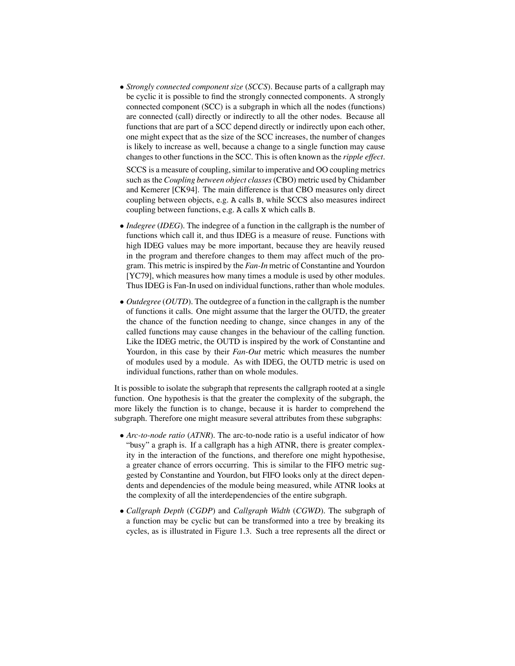• *Strongly connected component size* (*SCCS*). Because parts of a callgraph may be cyclic it is possible to find the strongly connected components. A strongly connected component (SCC) is a subgraph in which all the nodes (functions) are connected (call) directly or indirectly to all the other nodes. Because all functions that are part of a SCC depend directly or indirectly upon each other, one might expect that as the size of the SCC increases, the number of changes is likely to increase as well, because a change to a single function may cause changes to other functions in the SCC. This is often known as the *ripple effect*.

SCCS is a measure of coupling, similar to imperative and OO coupling metrics such as the *Coupling between object classes* (CBO) metric used by Chidamber and Kemerer [CK94]. The main difference is that CBO measures only direct coupling between objects, e.g. A calls B, while SCCS also measures indirect coupling between functions, e.g. A calls X which calls B.

- *Indegree* (*IDEG*). The indegree of a function in the callgraph is the number of functions which call it, and thus IDEG is a measure of reuse. Functions with high IDEG values may be more important, because they are heavily reused in the program and therefore changes to them may affect much of the program. This metric is inspired by the *Fan-In* metric of Constantine and Yourdon [YC79], which measures how many times a module is used by other modules. Thus IDEG is Fan-In used on individual functions, rather than whole modules.
- *Outdegree* (*OUTD*). The outdegree of a function in the callgraph is the number of functions it calls. One might assume that the larger the OUTD, the greater the chance of the function needing to change, since changes in any of the called functions may cause changes in the behaviour of the calling function. Like the IDEG metric, the OUTD is inspired by the work of Constantine and Yourdon, in this case by their *Fan-Out* metric which measures the number of modules used by a module. As with IDEG, the OUTD metric is used on individual functions, rather than on whole modules.

It is possible to isolate the subgraph that represents the callgraph rooted at a single function. One hypothesis is that the greater the complexity of the subgraph, the more likely the function is to change, because it is harder to comprehend the subgraph. Therefore one might measure several attributes from these subgraphs:

- *Arc-to-node ratio* (*ATNR*). The arc-to-node ratio is a useful indicator of how "busy" a graph is. If a callgraph has a high ATNR, there is greater complexity in the interaction of the functions, and therefore one might hypothesise, a greater chance of errors occurring. This is similar to the FIFO metric suggested by Constantine and Yourdon, but FIFO looks only at the direct dependents and dependencies of the module being measured, while ATNR looks at the complexity of all the interdependencies of the entire subgraph.
- *Callgraph Depth* (*CGDP*) and *Callgraph Width* (*CGWD*). The subgraph of a function may be cyclic but can be transformed into a tree by breaking its cycles, as is illustrated in Figure 1.3. Such a tree represents all the direct or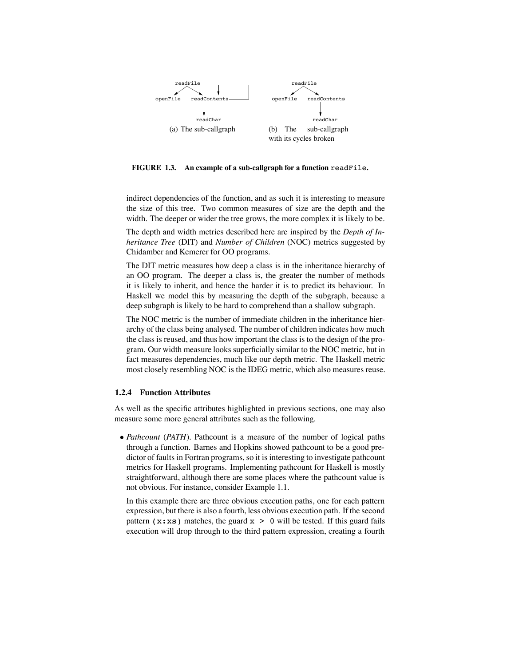

**FIGURE 1.3. An example of a sub-callgraph for a function** readFile**.**

indirect dependencies of the function, and as such it is interesting to measure the size of this tree. Two common measures of size are the depth and the width. The deeper or wider the tree grows, the more complex it is likely to be.

The depth and width metrics described here are inspired by the *Depth of Inheritance Tree* (DIT) and *Number of Children* (NOC) metrics suggested by Chidamber and Kemerer for OO programs.

The DIT metric measures how deep a class is in the inheritance hierarchy of an OO program. The deeper a class is, the greater the number of methods it is likely to inherit, and hence the harder it is to predict its behaviour. In Haskell we model this by measuring the depth of the subgraph, because a deep subgraph is likely to be hard to comprehend than a shallow subgraph.

The NOC metric is the number of immediate children in the inheritance hierarchy of the class being analysed. The number of children indicates how much the class is reused, and thus how important the class is to the design of the program. Our width measure looks superficially similar to the NOC metric, but in fact measures dependencies, much like our depth metric. The Haskell metric most closely resembling NOC is the IDEG metric, which also measures reuse.

#### **1.2.4 Function Attributes**

As well as the specific attributes highlighted in previous sections, one may also measure some more general attributes such as the following.

• *Pathcount* (*PATH*). Pathcount is a measure of the number of logical paths through a function. Barnes and Hopkins showed pathcount to be a good predictor of faults in Fortran programs, so it is interesting to investigate pathcount metrics for Haskell programs. Implementing pathcount for Haskell is mostly straightforward, although there are some places where the pathcount value is not obvious. For instance, consider Example 1.1.

In this example there are three obvious execution paths, one for each pattern expression, but there is also a fourth, less obvious execution path. If the second pattern ( $x:xs$ ) matches, the guard  $x > 0$  will be tested. If this guard fails execution will drop through to the third pattern expression, creating a fourth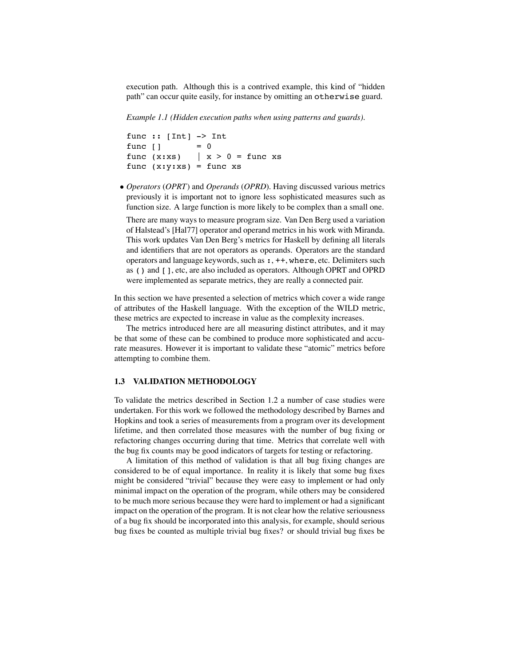execution path. Although this is a contrived example, this kind of "hidden path" can occur quite easily, for instance by omitting an otherwise guard.

*Example 1.1 (Hidden execution paths when using patterns and guards).*

func :: [Int] -> Int  $func [ ] = 0$ func  $(x:xs)$  |  $x > 0$  = func xs func  $(x:y:xs) = func xs$ 

• *Operators* (*OPRT*) and *Operands* (*OPRD*). Having discussed various metrics previously it is important not to ignore less sophisticated measures such as function size. A large function is more likely to be complex than a small one.

There are many ways to measure program size. Van Den Berg used a variation of Halstead's [Hal77] operator and operand metrics in his work with Miranda. This work updates Van Den Berg's metrics for Haskell by defining all literals and identifiers that are not operators as operands. Operators are the standard operators and language keywords, such as :, ++, where, etc. Delimiters such as () and [], etc, are also included as operators. Although OPRT and OPRD were implemented as separate metrics, they are really a connected pair.

In this section we have presented a selection of metrics which cover a wide range of attributes of the Haskell language. With the exception of the WILD metric, these metrics are expected to increase in value as the complexity increases.

The metrics introduced here are all measuring distinct attributes, and it may be that some of these can be combined to produce more sophisticated and accurate measures. However it is important to validate these "atomic" metrics before attempting to combine them.

#### **1.3 VALIDATION METHODOLOGY**

To validate the metrics described in Section 1.2 a number of case studies were undertaken. For this work we followed the methodology described by Barnes and Hopkins and took a series of measurements from a program over its development lifetime, and then correlated those measures with the number of bug fixing or refactoring changes occurring during that time. Metrics that correlate well with the bug fix counts may be good indicators of targets for testing or refactoring.

A limitation of this method of validation is that all bug fixing changes are considered to be of equal importance. In reality it is likely that some bug fixes might be considered "trivial" because they were easy to implement or had only minimal impact on the operation of the program, while others may be considered to be much more serious because they were hard to implement or had a significant impact on the operation of the program. It is not clear how the relative seriousness of a bug fix should be incorporated into this analysis, for example, should serious bug fixes be counted as multiple trivial bug fixes? or should trivial bug fixes be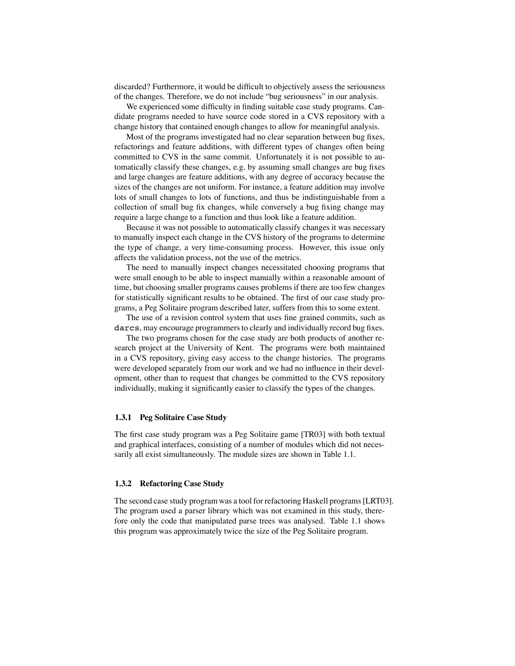discarded? Furthermore, it would be difficult to objectively assess the seriousness of the changes. Therefore, we do not include "bug seriousness" in our analysis.

We experienced some difficulty in finding suitable case study programs. Candidate programs needed to have source code stored in a CVS repository with a change history that contained enough changes to allow for meaningful analysis.

Most of the programs investigated had no clear separation between bug fixes, refactorings and feature additions, with different types of changes often being committed to CVS in the same commit. Unfortunately it is not possible to automatically classify these changes, e.g. by assuming small changes are bug fixes and large changes are feature additions, with any degree of accuracy because the sizes of the changes are not uniform. For instance, a feature addition may involve lots of small changes to lots of functions, and thus be indistinguishable from a collection of small bug fix changes, while conversely a bug fixing change may require a large change to a function and thus look like a feature addition.

Because it was not possible to automatically classify changes it was necessary to manually inspect each change in the CVS history of the programs to determine the type of change, a very time-consuming process. However, this issue only affects the validation process, not the use of the metrics.

The need to manually inspect changes necessitated choosing programs that were small enough to be able to inspect manually within a reasonable amount of time, but choosing smaller programs causes problems if there are too few changes for statistically significant results to be obtained. The first of our case study programs, a Peg Solitaire program described later, suffers from this to some extent.

The use of a revision control system that uses fine grained commits, such as darcs, may encourage programmers to clearly and individually record bug fixes.

The two programs chosen for the case study are both products of another research project at the University of Kent. The programs were both maintained in a CVS repository, giving easy access to the change histories. The programs were developed separately from our work and we had no influence in their development, other than to request that changes be committed to the CVS repository individually, making it significantly easier to classify the types of the changes.

#### **1.3.1 Peg Solitaire Case Study**

The first case study program was a Peg Solitaire game [TR03] with both textual and graphical interfaces, consisting of a number of modules which did not necessarily all exist simultaneously. The module sizes are shown in Table 1.1.

#### **1.3.2 Refactoring Case Study**

The second case study program was a tool for refactoring Haskell programs [LRT03]. The program used a parser library which was not examined in this study, therefore only the code that manipulated parse trees was analysed. Table 1.1 shows this program was approximately twice the size of the Peg Solitaire program.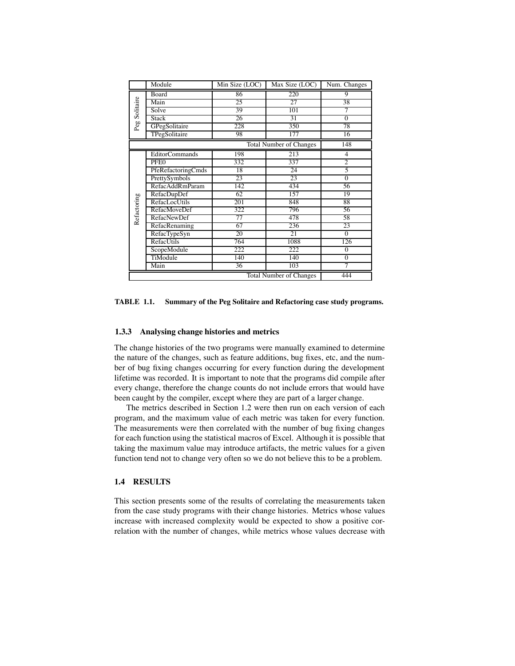|               | Module                                | Min Size (LOC)                 | Max Size (LOC)   | Num. Changes   |  |  |
|---------------|---------------------------------------|--------------------------------|------------------|----------------|--|--|
| Peg Solitaire | Board                                 | 86                             | 220              | 9              |  |  |
|               | Main                                  | 25                             | 27               | 38             |  |  |
|               | Solve                                 | 39                             | 101              | 7              |  |  |
|               | <b>Stack</b>                          | 26                             | 31               | $\Omega$       |  |  |
|               | GPegSolitaire                         | 228                            | 350              | 78             |  |  |
|               | TPegSolitaire                         | 98                             | $\overline{177}$ | 16             |  |  |
|               |                                       | <b>Total Number of Changes</b> |                  | 148            |  |  |
|               | <b>EditorCommands</b>                 | 198                            | 213              | 4              |  |  |
|               | PFE0                                  | 332                            | 337              | $\overline{2}$ |  |  |
|               | PfeRefactoringCmds                    | 18                             | 24               | 5              |  |  |
|               | PrettySymbols                         | 23                             | 23               | $\overline{0}$ |  |  |
|               | RefacAddRmParam                       | 142                            | 434              | 56             |  |  |
|               | RefacDupDef                           | 62                             | 157              | 19             |  |  |
|               | RefacLocUtils                         | 201                            | 848              | 88             |  |  |
|               | RefacMoveDef                          | 322                            | 796              | 56             |  |  |
| Refactoring   | <b>RefacNewDef</b>                    | 77                             | 478              | 58             |  |  |
|               | RefacRenaming                         | 67                             | 236              | 23             |  |  |
|               | RefacTypeSyn                          | 20                             | 21               | $\Omega$       |  |  |
|               | RefacUtils                            | 764                            | 1088             | 126            |  |  |
|               | ScopeModule                           | 222                            | 222              | $\Omega$       |  |  |
|               | TiModule                              | 140                            | 140              | $\overline{0}$ |  |  |
|               | Main                                  | 36                             | 103              | 7              |  |  |
|               | <b>Total Number of Changes</b><br>444 |                                |                  |                |  |  |

**TABLE 1.1. Summary of the Peg Solitaire and Refactoring case study programs.**

#### **1.3.3 Analysing change histories and metrics**

The change histories of the two programs were manually examined to determine the nature of the changes, such as feature additions, bug fixes, etc, and the number of bug fixing changes occurring for every function during the development lifetime was recorded. It is important to note that the programs did compile after every change, therefore the change counts do not include errors that would have been caught by the compiler, except where they are part of a larger change.

The metrics described in Section 1.2 were then run on each version of each program, and the maximum value of each metric was taken for every function. The measurements were then correlated with the number of bug fixing changes for each function using the statistical macros of Excel. Although it is possible that taking the maximum value may introduce artifacts, the metric values for a given function tend not to change very often so we do not believe this to be a problem.

#### **1.4 RESULTS**

This section presents some of the results of correlating the measurements taken from the case study programs with their change histories. Metrics whose values increase with increased complexity would be expected to show a positive correlation with the number of changes, while metrics whose values decrease with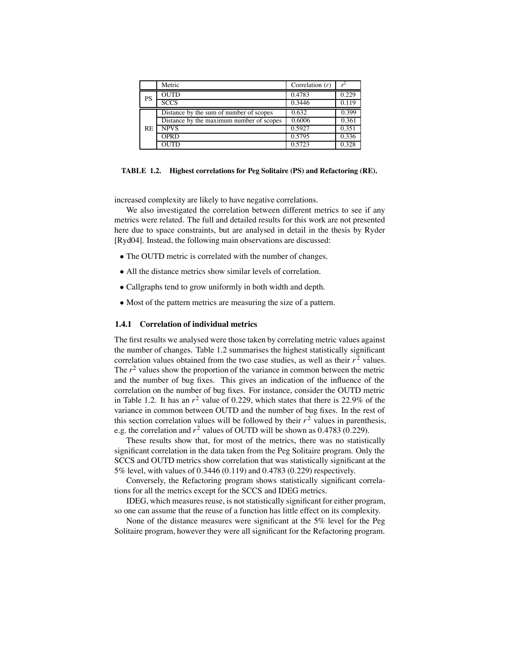|           | Metric                                   | Correlation $(r)$ |       |
|-----------|------------------------------------------|-------------------|-------|
| PS        | <b>OUTD</b>                              | 0.4783            | 0.229 |
|           | <b>SCCS</b>                              | 0.3446            | 0.119 |
| <b>RE</b> | Distance by the sum of number of scopes  | 0.632             | 0.399 |
|           | Distance by the maximum number of scopes | 0.6006            | 0.361 |
|           | <b>NPVS</b>                              | 0.5927            | 0.351 |
|           | <b>OPRD</b>                              | 0.5795            | 0.336 |
|           | OUTD                                     | 0.5723            | 0.328 |

**TABLE 1.2. Highest correlations for Peg Solitaire (PS) and Refactoring (RE).**

increased complexity are likely to have negative correlations.

We also investigated the correlation between different metrics to see if any metrics were related. The full and detailed results for this work are not presented here due to space constraints, but are analysed in detail in the thesis by Ryder [Ryd04]. Instead, the following main observations are discussed:

- The OUTD metric is correlated with the number of changes.
- All the distance metrics show similar levels of correlation.
- Callgraphs tend to grow uniformly in both width and depth.
- Most of the pattern metrics are measuring the size of a pattern.

#### **1.4.1 Correlation of individual metrics**

The first results we analysed were those taken by correlating metric values against the number of changes. Table 1.2 summarises the highest statistically significant correlation values obtained from the two case studies, as well as their  $r^2$  values. The  $r<sup>2</sup>$  values show the proportion of the variance in common between the metric and the number of bug fixes. This gives an indication of the influence of the correlation on the number of bug fixes. For instance, consider the OUTD metric in Table 1.2. It has an  $r^2$  value of 0.229, which states that there is 22.9% of the variance in common between OUTD and the number of bug fixes. In the rest of this section correlation values will be followed by their  $r^2$  values in parenthesis, e.g. the correlation and  $r^2$  values of OUTD will be shown as 0.4783 (0.229).

These results show that, for most of the metrics, there was no statistically significant correlation in the data taken from the Peg Solitaire program. Only the SCCS and OUTD metrics show correlation that was statistically significant at the 5% level, with values of 0.3446 (0.119) and 0.4783 (0.229) respectively.

Conversely, the Refactoring program shows statistically significant correlations for all the metrics except for the SCCS and IDEG metrics.

IDEG, which measures reuse, is not statistically significant for either program, so one can assume that the reuse of a function has little effect on its complexity.

None of the distance measures were significant at the 5% level for the Peg Solitaire program, however they were all significant for the Refactoring program.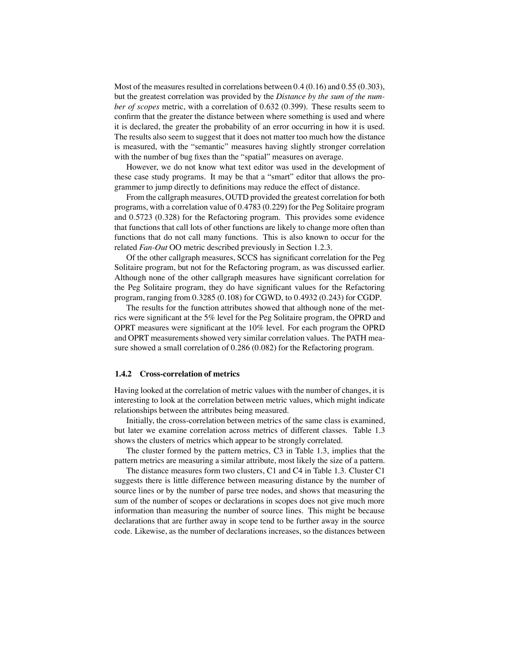Most of the measures resulted in correlations between 0.4 (0.16) and 0.55 (0.303), but the greatest correlation was provided by the *Distance by the sum of the number of scopes* metric, with a correlation of 0.632 (0.399). These results seem to confirm that the greater the distance between where something is used and where it is declared, the greater the probability of an error occurring in how it is used. The results also seem to suggest that it does not matter too much how the distance is measured, with the "semantic" measures having slightly stronger correlation with the number of bug fixes than the "spatial" measures on average.

However, we do not know what text editor was used in the development of these case study programs. It may be that a "smart" editor that allows the programmer to jump directly to definitions may reduce the effect of distance.

From the callgraph measures, OUTD provided the greatest correlation for both programs, with a correlation value of 0.4783 (0.229) for the Peg Solitaire program and 0.5723 (0.328) for the Refactoring program. This provides some evidence that functions that call lots of other functions are likely to change more often than functions that do not call many functions. This is also known to occur for the related *Fan-Out* OO metric described previously in Section 1.2.3.

Of the other callgraph measures, SCCS has significant correlation for the Peg Solitaire program, but not for the Refactoring program, as was discussed earlier. Although none of the other callgraph measures have significant correlation for the Peg Solitaire program, they do have significant values for the Refactoring program, ranging from 0.3285 (0.108) for CGWD, to 0.4932 (0.243) for CGDP.

The results for the function attributes showed that although none of the metrics were significant at the 5% level for the Peg Solitaire program, the OPRD and OPRT measures were significant at the 10% level. For each program the OPRD and OPRT measurements showed very similar correlation values. The PATH measure showed a small correlation of 0.286 (0.082) for the Refactoring program.

#### **1.4.2 Cross-correlation of metrics**

Having looked at the correlation of metric values with the number of changes, it is interesting to look at the correlation between metric values, which might indicate relationships between the attributes being measured.

Initially, the cross-correlation between metrics of the same class is examined, but later we examine correlation across metrics of different classes. Table 1.3 shows the clusters of metrics which appear to be strongly correlated.

The cluster formed by the pattern metrics, C3 in Table 1.3, implies that the pattern metrics are measuring a similar attribute, most likely the size of a pattern.

The distance measures form two clusters, C1 and C4 in Table 1.3. Cluster C1 suggests there is little difference between measuring distance by the number of source lines or by the number of parse tree nodes, and shows that measuring the sum of the number of scopes or declarations in scopes does not give much more information than measuring the number of source lines. This might be because declarations that are further away in scope tend to be further away in the source code. Likewise, as the number of declarations increases, so the distances between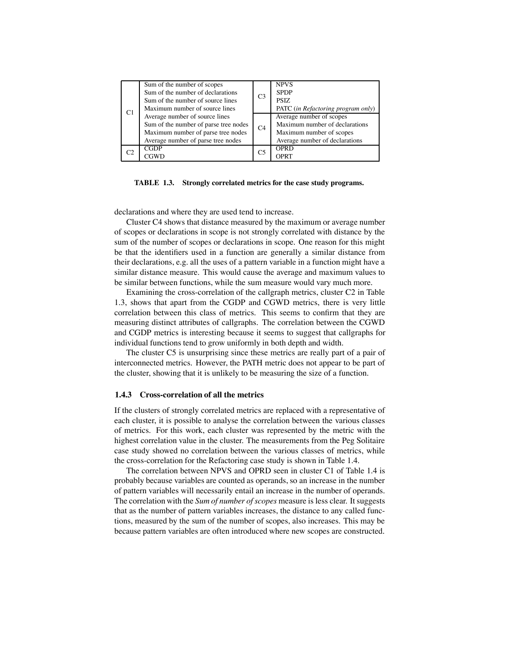| C <sub>1</sub> | Sum of the number of scopes<br>Sum of the number of declarations<br>Sum of the number of source lines<br>Maximum number of source lines             |                | <b>NPVS</b><br><b>SPDP</b><br><b>PSIZ</b><br>PATC (in Refactoring program only)                                          |
|----------------|-----------------------------------------------------------------------------------------------------------------------------------------------------|----------------|--------------------------------------------------------------------------------------------------------------------------|
|                | Average number of source lines<br>Sum of the number of parse tree nodes<br>Maximum number of parse tree nodes<br>Average number of parse tree nodes | C <sub>4</sub> | Average number of scopes<br>Maximum number of declarations<br>Maximum number of scopes<br>Average number of declarations |
| $\mathcal{C}$  | <b>CGDP</b><br><b>CGWD</b>                                                                                                                          | C <sub>5</sub> | OPRD<br><b>OPRT</b>                                                                                                      |

**TABLE 1.3. Strongly correlated metrics for the case study programs.**

declarations and where they are used tend to increase.

Cluster C4 shows that distance measured by the maximum or average number of scopes or declarations in scope is not strongly correlated with distance by the sum of the number of scopes or declarations in scope. One reason for this might be that the identifiers used in a function are generally a similar distance from their declarations, e.g. all the uses of a pattern variable in a function might have a similar distance measure. This would cause the average and maximum values to be similar between functions, while the sum measure would vary much more.

Examining the cross-correlation of the callgraph metrics, cluster C2 in Table 1.3, shows that apart from the CGDP and CGWD metrics, there is very little correlation between this class of metrics. This seems to confirm that they are measuring distinct attributes of callgraphs. The correlation between the CGWD and CGDP metrics is interesting because it seems to suggest that callgraphs for individual functions tend to grow uniformly in both depth and width.

The cluster C5 is unsurprising since these metrics are really part of a pair of interconnected metrics. However, the PATH metric does not appear to be part of the cluster, showing that it is unlikely to be measuring the size of a function.

#### **1.4.3 Cross-correlation of all the metrics**

If the clusters of strongly correlated metrics are replaced with a representative of each cluster, it is possible to analyse the correlation between the various classes of metrics. For this work, each cluster was represented by the metric with the highest correlation value in the cluster. The measurements from the Peg Solitaire case study showed no correlation between the various classes of metrics, while the cross-correlation for the Refactoring case study is shown in Table 1.4.

The correlation between NPVS and OPRD seen in cluster C1 of Table 1.4 is probably because variables are counted as operands, so an increase in the number of pattern variables will necessarily entail an increase in the number of operands. The correlation with the *Sum of number of scopes* measure is less clear. It suggests that as the number of pattern variables increases, the distance to any called functions, measured by the sum of the number of scopes, also increases. This may be because pattern variables are often introduced where new scopes are constructed.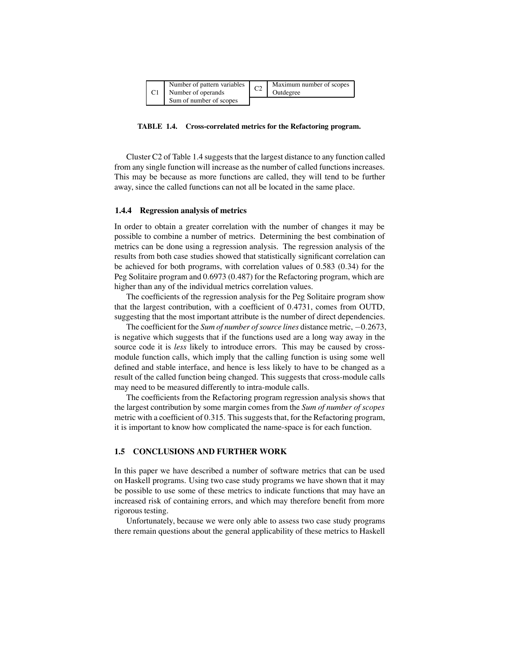

**TABLE 1.4. Cross-correlated metrics for the Refactoring program.**

Cluster C2 of Table 1.4 suggests that the largest distance to any function called from any single function will increase as the number of called functions increases. This may be because as more functions are called, they will tend to be further away, since the called functions can not all be located in the same place.

#### **1.4.4 Regression analysis of metrics**

In order to obtain a greater correlation with the number of changes it may be possible to combine a number of metrics. Determining the best combination of metrics can be done using a regression analysis. The regression analysis of the results from both case studies showed that statistically significant correlation can be achieved for both programs, with correlation values of 0.583 (0.34) for the Peg Solitaire program and 0.6973 (0.487) for the Refactoring program, which are higher than any of the individual metrics correlation values.

The coefficients of the regression analysis for the Peg Solitaire program show that the largest contribution, with a coefficient of 0.4731, comes from OUTD, suggesting that the most important attribute is the number of direct dependencies.

The coefficient for the *Sum of number of source lines* distance metric, <sup>−</sup>0.2673, is negative which suggests that if the functions used are a long way away in the source code it is *less* likely to introduce errors. This may be caused by crossmodule function calls, which imply that the calling function is using some well defined and stable interface, and hence is less likely to have to be changed as a result of the called function being changed. This suggests that cross-module calls may need to be measured differently to intra-module calls.

The coefficients from the Refactoring program regression analysis shows that the largest contribution by some margin comes from the *Sum of number of scopes* metric with a coefficient of 0.315. This suggests that, for the Refactoring program, it is important to know how complicated the name-space is for each function.

#### **1.5 CONCLUSIONS AND FURTHER WORK**

In this paper we have described a number of software metrics that can be used on Haskell programs. Using two case study programs we have shown that it may be possible to use some of these metrics to indicate functions that may have an increased risk of containing errors, and which may therefore benefit from more rigorous testing.

Unfortunately, because we were only able to assess two case study programs there remain questions about the general applicability of these metrics to Haskell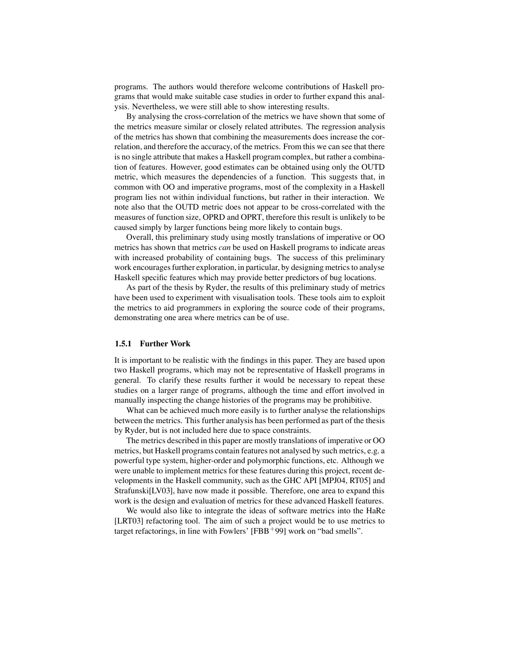programs. The authors would therefore welcome contributions of Haskell programs that would make suitable case studies in order to further expand this analysis. Nevertheless, we were still able to show interesting results.

By analysing the cross-correlation of the metrics we have shown that some of the metrics measure similar or closely related attributes. The regression analysis of the metrics has shown that combining the measurements does increase the correlation, and therefore the accuracy, of the metrics. From this we can see that there is no single attribute that makes a Haskell program complex, but rather a combination of features. However, good estimates can be obtained using only the OUTD metric, which measures the dependencies of a function. This suggests that, in common with OO and imperative programs, most of the complexity in a Haskell program lies not within individual functions, but rather in their interaction. We note also that the OUTD metric does not appear to be cross-correlated with the measures of function size, OPRD and OPRT, therefore this result is unlikely to be caused simply by larger functions being more likely to contain bugs.

Overall, this preliminary study using mostly translations of imperative or OO metrics has shown that metrics *can* be used on Haskell programs to indicate areas with increased probability of containing bugs. The success of this preliminary work encourages further exploration, in particular, by designing metrics to analyse Haskell specific features which may provide better predictors of bug locations.

As part of the thesis by Ryder, the results of this preliminary study of metrics have been used to experiment with visualisation tools. These tools aim to exploit the metrics to aid programmers in exploring the source code of their programs, demonstrating one area where metrics can be of use.

#### **1.5.1 Further Work**

It is important to be realistic with the findings in this paper. They are based upon two Haskell programs, which may not be representative of Haskell programs in general. To clarify these results further it would be necessary to repeat these studies on a larger range of programs, although the time and effort involved in manually inspecting the change histories of the programs may be prohibitive.

What can be achieved much more easily is to further analyse the relationships between the metrics. This further analysis has been performed as part of the thesis by Ryder, but is not included here due to space constraints.

The metrics described in this paper are mostly translations of imperative or OO metrics, but Haskell programs contain features not analysed by such metrics, e.g. a powerful type system, higher-order and polymorphic functions, etc. Although we were unable to implement metrics for these features during this project, recent developments in the Haskell community, such as the GHC API [MPJ04, RT05] and Strafunski[LV03], have now made it possible. Therefore, one area to expand this work is the design and evaluation of metrics for these advanced Haskell features.

We would also like to integrate the ideas of software metrics into the HaRe [LRT03] refactoring tool. The aim of such a project would be to use metrics to target refactorings, in line with Fowlers'  $[FBB<sup>+</sup>99]$  work on "bad smells".